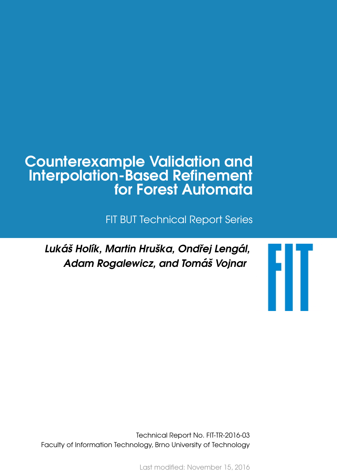# Counterexample Validation and Interpolation-Based Refinement for Forest Automata

FIT BUT Technical Report Series

il

Lukáš Holík, Martin Hruška, Ondřej Lengál, Adam Rogalewicz, and Tomáš Vojnar

Technical Report No. FIT-TR-2016-03 Faculty of Information Technology, Brno University of Technology

Last modified: November 15, 2016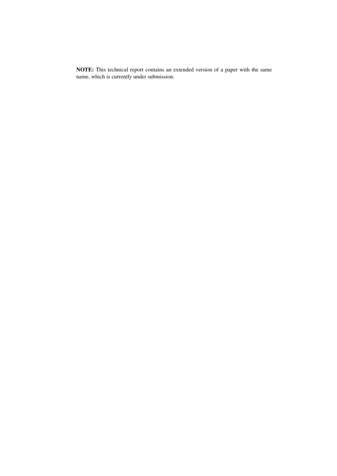NOTE: This technical report contains an extended version of a paper with the same name, which is currently under submission.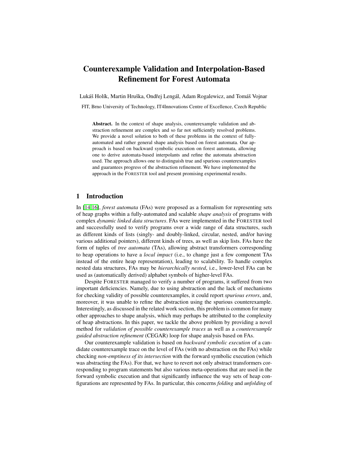# Counterexample Validation and Interpolation-Based Refinement for Forest Automata

Lukáš Holík, Martin Hruška, Ondřej Lengál, Adam Rogalewicz, and Tomáš Vojnar

FIT, Brno University of Technology, IT4Innovations Centre of Excellence, Czech Republic

Abstract. In the context of shape analysis, counterexample validation and abstraction refinement are complex and so far not sufficiently resolved problems. We provide a novel solution to both of these problems in the context of fullyautomated and rather general shape analysis based on forest automata. Our approach is based on backward symbolic execution on forest automata, allowing one to derive automata-based interpolants and refine the automata abstraction used. The approach allows one to distinguish true and spurious counterexamples and guarantees progress of the abstraction refinement. We have implemented the approach in the FORESTER tool and present promising experimental results.

# 1 Introduction

In [\[14,](#page-19-0)[16\]](#page-19-1), *forest automata* (FAs) were proposed as a formalism for representing sets of heap graphs within a fully-automated and scalable *shape analysis* of programs with complex *dynamic linked data structures*. FAs were implemented in the FORESTER tool and successfully used to verify programs over a wide range of data structures, such as different kinds of lists (singly- and doubly-linked, circular, nested, and/or having various additional pointers), different kinds of trees, as well as skip lists. FAs have the form of tuples of *tree automata* (TAs), allowing abstract transformers corresponding to heap operations to have a *local impact* (i.e., to change just a few component TAs instead of the entire heap representation), leading to scalability. To handle complex nested data structures, FAs may be *hierarchically nested*, i.e., lower-level FAs can be used as (automatically derived) alphabet symbols of higher-level FAs.

Despite FORESTER managed to verify a number of programs, it suffered from two important deficiencies. Namely, due to using abstraction and the lack of mechanisms for checking validity of possible counterexamples, it could report *spurious errors*, and, moreover, it was unable to refine the abstraction using the spurious counterexample. Interestingly, as discussed in the related work section, this problem is common for many other approaches to shape analysis, which may perhaps be attributed to the complexity of heap abstractions. In this paper, we tackle the above problem by providing a novel method for *validation of possible counterexample traces* as well as a *counterexample guided abstraction refinement* (CEGAR) loop for shape analysis based on FAs.

Our counterexample validation is based on *backward symbolic execution* of a candidate counterexample trace on the level of FAs (with no abstraction on the FAs) while checking *non-emptiness of its intersection* with the forward symbolic execution (which was abstracting the FAs). For that, we have to revert not only abstract transformers corresponding to program statements but also various meta-operations that are used in the forward symbolic execution and that significantly influence the way sets of heap configurations are represented by FAs. In particular, this concerns *folding* and *unfolding* of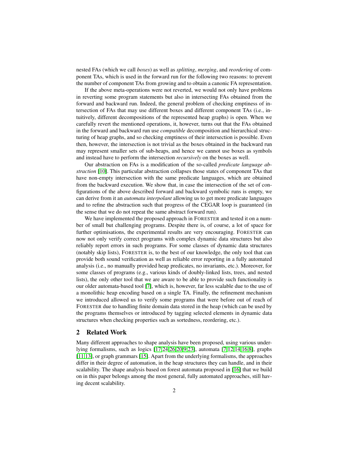nested FAs (which we call *boxes*) as well as *splitting*, *merging*, and *reordering* of component TAs, which is used in the forward run for the following two reasons: to prevent the number of component TAs from growing and to obtain a canonic FA representation.

If the above meta-operations were not reverted, we would not only have problems in reverting some program statements but also in intersecting FAs obtained from the forward and backward run. Indeed, the general problem of checking emptiness of intersection of FAs that may use different boxes and different component TAs (i.e., intuitively, different decompositions of the represented heap graphs) is open. When we carefully revert the mentioned operations, it, however, turns out that the FAs obtained in the forward and backward run use *compatible* decomposition and hierarchical structuring of heap graphs, and so checking emptiness of their intersection is possible. Even then, however, the intersection is not trivial as the boxes obtained in the backward run may represent smaller sets of sub-heaps, and hence we cannot use boxes as symbols and instead have to perform the intersection *recursively* on the boxes as well.

Our abstraction on FAs is a modification of the so-called *predicate language abstraction* [\[10\]](#page-19-2). This particular abstraction collapses those states of component TAs that have non-empty intersection with the same predicate languages, which are obtained from the backward execution. We show that, in case the intersection of the set of configurations of the above described forward and backward symbolic runs is empty, we can derive from it an *automata interpolant* allowing us to get more predicate languages and to refine the abstraction such that progress of the CEGAR loop is guaranteed (in the sense that we do not repeat the same abstract forward run).

We have implemented the proposed approach in FORESTER and tested it on a number of small but challenging programs. Despite there is, of course, a lot of space for further optimisations, the experimental results are very encouraging. FORESTER can now not only verify correct programs with complex dynamic data structures but also reliably report errors in such programs. For some classes of dynamic data structures (notably skip lists), FORESTER is, to the best of our knowledge, the only tool that can provide both sound verification as well as reliable error reporting in a fully automated analysis (i.e., no manually provided heap predicates, no invariants, etc.). Moreover, for some classes of programs (e.g., various kinds of doubly-linked lists, trees, and nested lists), the only other tool that we are aware to be able to provide such functionality is our older automata-based tool [\[7\]](#page-19-3), which is, however, far less scalable due to the use of a monolithic heap encoding based on a single TA. Finally, the refinement mechanism we introduced allowed us to verify some programs that were before out of reach of FORESTER due to handling finite domain data stored in the heap (which can be used by the programs themselves or introduced by tagging selected elements in dynamic data structures when checking properties such as sortedness, reordering, etc.).

# 2 Related Work

Many different approaches to shape analysis have been proposed, using various underlying formalisms, such as logics [\[17](#page-20-0)[,24](#page-20-1)[,26](#page-20-2)[,20](#page-20-3)[,9](#page-19-4)[,23\]](#page-20-4), automata [\[7,](#page-19-3)[12,](#page-19-5)[14,](#page-19-0)[16,](#page-19-1)[8\]](#page-19-6), graphs [\[11,](#page-19-7)[13\]](#page-19-8), or graph grammars [\[15\]](#page-19-9). Apart from the underlying formalisms, the approaches differ in their degree of automation, in the heap structures they can handle, and in their scalability. The shape analysis based on forest automata proposed in [\[16\]](#page-19-1) that we build on in this paper belongs among the most general, fully automated approaches, still having decent scalability.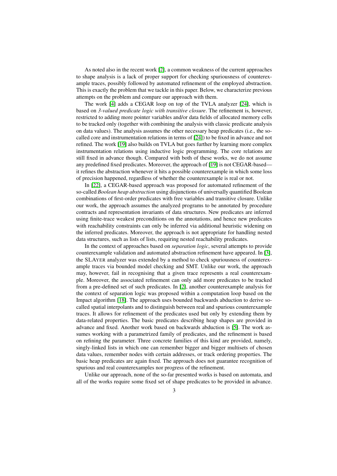As noted also in the recent work [\[2\]](#page-19-10), a common weakness of the current approaches to shape analysis is a lack of proper support for checking spuriousness of counterexample traces, possibly followed by automated refinement of the employed abstraction. This is exactly the problem that we tackle in this paper. Below, we characterize previous attempts on the problem and compare our approach with them.

The work [\[4\]](#page-19-11) adds a CEGAR loop on top of the TVLA analyzer [\[24\]](#page-20-1), which is based on *3-valued predicate logic with transitive closure*. The refinement is, however, restricted to adding more pointer variables and/or data fields of allocated memory cells to be tracked only (together with combining the analysis with classic predicate analysis on data values). The analysis assumes the other necessary heap predicates (i.e., the socalled core and instrumentation relations in terms of [\[24\]](#page-20-1)) to be fixed in advance and not refined. The work [\[19\]](#page-20-5) also builds on TVLA but goes further by learning more complex instrumentation relations using inductive logic programming. The core relations are still fixed in advance though. Compared with both of these works, we do not assume any predefined fixed predicates. Moreover, the approach of [\[19\]](#page-20-5) is not CEGAR-based it refines the abstraction whenever it hits a possible counterexample in which some loss of precision happened, regardless of whether the counterexample is real or not.

In [\[22\]](#page-20-6), a CEGAR-based approach was proposed for automated refinement of the so-called *Boolean heap abstraction* using disjunctions of universally quantified Boolean combinations of first-order predicates with free variables and transitive closure. Unlike our work, the approach assumes the analyzed programs to be annotated by procedure contracts and representation invariants of data structures. New predicates are inferred using finite-trace weakest preconditions on the annotations, and hence new predicates with reachability constraints can only be inferred via additional heuristic widening on the inferred predicates. Moreover, the approach is not appropriate for handling nested data structures, such as lists of lists, requiring nested reachability predicates.

In the context of approaches based on *separation logic*, several attempts to provide counterexample validation and automated abstraction refinement have appeared. In [\[3\]](#page-19-12), the SLAYER analyzer was extended by a method to check spuriousness of counterexample traces via bounded model checking and SMT. Unlike our work, the approach may, however, fail in recognising that a given trace represents a real counterexample. Moreover, the associated refinement can only add more predicates to be tracked from a pre-defined set of such predicates. In [\[2\]](#page-19-10), another counterexample analysis for the context of separation logic was proposed within a computation loop based on the Impact algorithm [\[18\]](#page-20-7). The approach uses bounded backwards abduction to derive socalled spatial interpolants and to distinguish between real and spurious counterexample traces. It allows for refinement of the predicates used but only by extending them by data-related properties. The basic predicates describing heap shapes are provided in advance and fixed. Another work based on backwards abduction is [\[5\]](#page-19-13). The work assumes working with a parametrized family of predicates, and the refinement is based on refining the parameter. Three concrete families of this kind are provided, namely, singly-linked lists in which one can remember bigger and bigger multisets of chosen data values, remember nodes with certain addresses, or track ordering properties. The basic heap predicates are again fixed. The approach does not guarantee recognition of spurious and real counterexamples nor progress of the refinement.

Unlike our approach, none of the so-far presented works is based on automata, and all of the works require some fixed set of shape predicates to be provided in advance.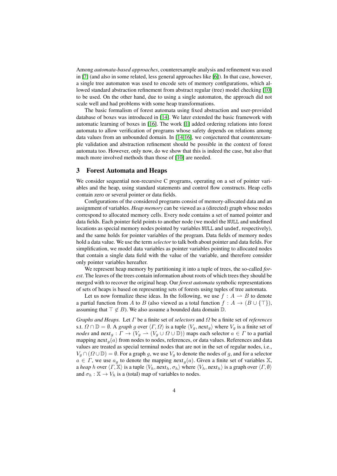Among *automata-based approaches*, counterexample analysis and refinement was used in [\[7\]](#page-19-3) (and also in some related, less general approaches like [\[6\]](#page-19-14)). In that case, however, a single tree automaton was used to encode sets of memory configurations, which allowed standard abstraction refinement from abstract regular (tree) model checking [\[10\]](#page-19-2) to be used. On the other hand, due to using a single automaton, the approach did not scale well and had problems with some heap transformations.

The basic formalism of forest automata using fixed abstraction and user-provided database of boxes was introduced in [\[14\]](#page-19-0). We later extended the basic framework with automatic learning of boxes in [\[16\]](#page-19-1). The work [\[1\]](#page-19-15) added ordering relations into forest automata to allow verification of programs whose safety depends on relations among data values from an unbounded domain. In [\[14](#page-19-0)[,16\]](#page-19-1), we conjectured that counterexample validation and abstraction refinement should be possible in the context of forest automata too. However, only now, do we show that this is indeed the case, but also that much more involved methods than those of [\[10\]](#page-19-2) are needed.

# 3 Forest Automata and Heaps

We consider sequential non-recursive C programs, operating on a set of pointer variables and the heap, using standard statements and control flow constructs. Heap cells contain zero or several pointer or data fields.

Configurations of the considered programs consist of memory-allocated data and an assignment of variables. *Heap memory* can be viewed as a (directed) graph whose nodes correspond to allocated memory cells. Every node contains a set of named pointer and data fields. Each pointer field points to another node (we model the NULL and undefined locations as special memory nodes pointed by variables NULL and undef, respectively), and the same holds for pointer variables of the program. Data fields of memory nodes hold a data value. We use the term *selector* to talk both about pointer and data fields. For simplification, we model data variables as pointer variables pointing to allocated nodes that contain a single data field with the value of the variable, and therefore consider only pointer variables hereafter.

We represent heap memory by partitioning it into a tuple of trees, the so-called *forest*. The leaves of the trees contain information about roots of which trees they should be merged with to recover the original heap. Our *forest automata* symbolic representations of sets of heaps is based on representing sets of forests using tuples of tree automata.

Let us now formalize these ideas. In the following, we use  $f : A \rightarrow B$  to denote a partial function from A to B (also viewed as a total function  $f : A \rightarrow (B \cup \{T\})$ , assuming that  $\top \notin B$ ). We also assume a bounded data domain  $\mathbb{D}$ .

*Graphs and Heaps.* Let Γ be a finite set of *selectors* and Ω be a finite set of *references* s.t.  $\Omega \cap \mathbb{D} = \emptyset$ . A *graph g* over  $\langle \Gamma, \Omega \rangle$  is a tuple  $\langle V_g, \text{next}_g \rangle$  where  $V_g$  is a finite set of *nodes* and next<sub>g</sub> :  $\Gamma \to (V_g \to (V_g \cup \Omega \cup \mathbb{D}))$  maps each selector  $a \in \Gamma$  to a partial mapping  $next_q(a)$  from nodes to nodes, references, or data values. References and data values are treated as special terminal nodes that are not in the set of regular nodes, i.e.,  $V_g \cap (\Omega \cup \mathbb{D}) = \emptyset$ . For a graph g, we use  $V_g$  to denote the nodes of g, and for a selector  $a \in \Gamma$ , we use  $a_g$  to denote the mapping next<sub>g</sub>(a). Given a finite set of variables X, a *heap* h over  $\langle \Gamma, \mathbb{X} \rangle$  is a tuple  $\langle V_h, \text{next}_h, \sigma_h \rangle$  where  $\langle V_h, \text{next}_h \rangle$  is a graph over  $\langle \Gamma, \emptyset \rangle$ and  $\sigma_h : \mathbb{X} \to V_h$  is a (total) map of variables to nodes.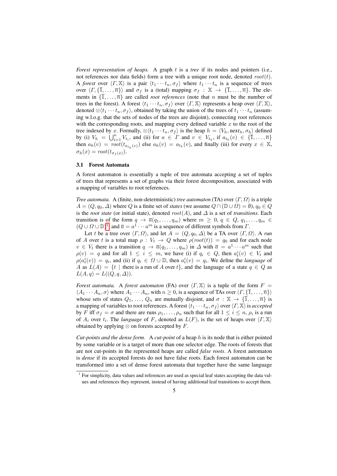*Forest representation of heaps.* A graph t is a tree if its nodes and pointers (i.e., not references nor data fields) form a tree with a unique root node, denoted  $root(t)$ . A *forest* over  $\langle \Gamma, \mathbb{X} \rangle$  is a pair  $\langle t_1 \cdots t_n, \sigma_f \rangle$  where  $t_1 \cdots t_n$  is a sequence of trees over  $\langle \Gamma, \{1, \ldots, \overline{n}\}\rangle$  and  $\sigma_f$  is a (total) mapping  $\sigma_f : \mathbb{X} \to \{1, \ldots, \overline{n}\}.$  The elements in  $\{\overline{1}, \ldots, \overline{n}\}$  are called *root references* (note that *n* must be the number of trees in the forest). A forest  $\langle t_1 \cdots t_n, \sigma_f \rangle$  over  $\langle \Gamma, \mathbb{X} \rangle$  represents a heap over  $\langle \Gamma, \mathbb{X} \rangle$ , denoted  $\otimes \langle t_1 \cdots t_n, \sigma_f \rangle$ , obtained by taking the union of the trees of  $t_1 \cdots t_n$  (assuming w.l.o.g. that the sets of nodes of the trees are disjoint), connecting root references with the corresponding roots, and mapping every defined variable  $x$  to the root of the tree indexed by x. Formally,  $\otimes \langle t_1 \cdots t_n, \sigma_f \rangle$  is the heap  $h = \langle V_h, \text{next}_h, \sigma_h \rangle$  defined by (i)  $V_h = \bigcup_{i=1}^n V_{t_i}$ , and (ii) for  $a \in \Gamma$  and  $v \in V_{t_k}$ , if  $a_{t_k}(v) \in \{\overline{1}, \ldots, \overline{n}\}$ then  $a_h(v) = root(t_{a_{t_k}(v)})$  else  $a_h(v) = a_{t_k}(v)$ , and finally (iii) for every  $x \in \mathbb{X}$ ,  $\sigma_h(x) = root(t_{\sigma_f(x)})$ .

# <span id="page-6-1"></span>3.1 Forest Automata

A forest automaton is essentially a tuple of tree automata accepting a set of tuples of trees that represents a set of graphs via their forest decomposition, associated with a mapping of variables to root references.

*Tree automata.* A (finite, non-deterministic) *tree automaton* (TA) over  $\langle \Gamma, \Omega \rangle$  is a triple  $A = (Q, q_0, \Delta)$  where Q is a finite set of *states* (we assume  $Q \cap (\mathbb{D} \cup \Omega) = \emptyset$ ),  $q_0 \in Q$ is the *root state* (or initial state), denoted  $root(A)$ , and  $\Delta$  is a set of *transitions*. Each transition is of the form  $q \to \overline{a}(q_1,\ldots,q_m)$  where  $m \geq 0, q \in Q, q_1,\ldots,q_m \in$  $(Q \cup \Omega \cup \mathbb{D})^1$  $(Q \cup \Omega \cup \mathbb{D})^1$ , and  $\overline{a} = a^1 \cdots a^m$  is a sequence of different symbols from  $\Gamma$ .

Let t be a tree over  $\langle \Gamma, \Omega \rangle$ , and let  $A = (Q, q_0, \Delta)$  be a TA over  $\langle \Gamma, \Omega \rangle$ . A *run* of A over t is a total map  $\rho: V_t \to Q$  where  $\rho(root(t)) = q_0$  and for each node  $v \in V_t$  there is a transition  $q \to \overline{a}(q_1,\ldots,q_m)$  in  $\Delta$  with  $\overline{a} = a^1 \cdots a^m$  such that  $\rho(v) = q$  and for all  $1 \leq i \leq m$ , we have (i) if  $q_i \in Q$ , then  $a_t^i(v) \in V_t$  and  $\rho(a_t^i(v)) = q_i$ , and (ii) if  $q_i \in \Omega \cup \mathbb{D}$ , then  $a_t^i(v) = q_i$ . We define the *language* of A as  $L(A) = \{t \mid \text{there is a run of } A \text{ over } t\}$ , and the language of a state  $q \in Q$  as  $L(A,q) = L((Q,q,\Delta)).$ 

*Forest automata.* A *forest automaton* (FA) over  $\langle \Gamma, \mathbb{X} \rangle$  is a tuple of the form  $F =$  $\langle A_1 \cdots A_n, \sigma \rangle$  where  $A_1 \cdots A_n$ , with  $n \geq 0$ , is a sequence of TAs over  $\langle \Gamma, \{1, \ldots, \overline{n}\} \rangle$ whose sets of states  $Q_1, \ldots, Q_n$  are mutually disjoint, and  $\sigma : \mathbb{X} \to \{\overline{1}, \ldots, \overline{n}\}$  is a mapping of variables to root references. A forest  $\langle t_1 \cdots t_n, \sigma_f \rangle$  over  $\langle \Gamma, \mathbb{X} \rangle$  is *accepted* by F iff  $\sigma_f = \sigma$  and there are runs  $\rho_1, \ldots, \rho_n$  such that for all  $1 \leq i \leq n$ ,  $\rho_i$  is a run of  $A_i$  over  $t_i$ . The *language* of F, denoted as  $L(F)$ , is the set of heaps over  $\langle \Gamma, \mathbb{X} \rangle$ obtained by applying  $\otimes$  on forests accepted by F.

*Cut-points and the dense form.* A *cut-point* of a heap h is its node that is either pointed by some variable or is a target of more than one selector edge. The roots of forests that are not cut-points in the represented heaps are called *false roots*. A forest automaton is *dense* if its accepted forests do not have false roots. Each forest automaton can be transformed into a set of dense forest automata that together have the same language

<span id="page-6-0"></span><sup>&</sup>lt;sup>1</sup> For simplicity, data values and references are used as special leaf states accepting the data values and references they represent, instead of having additional leaf transitions to accept them.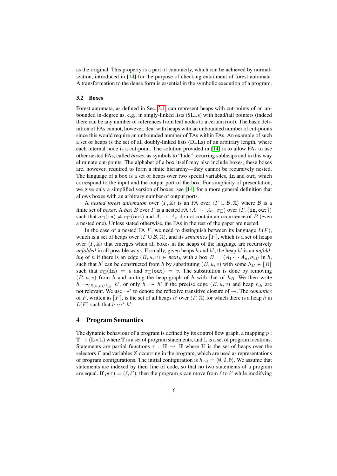as the original. This property is a part of canonicity, which can be achieved by normalization, introduced in [\[14\]](#page-19-0) for the purpose of checking entailment of forest automata. A transformation to the dense form is essential in the symbolic execution of a program.

### 3.2 Boxes

Forest automata, as defined in Sec. [3.1,](#page-6-1) can represent heaps with cut-points of an unbounded in-degree as, e.g., in singly-linked lists (SLLs) with head/tail pointers (indeed there can be any number of references from leaf nodes to a certain root). The basic definition of FAs cannot, however, deal with heaps with an unbounded number of cut-points since this would require an unbounded number of TAs within FAs. An example of such a set of heaps is the set of all doubly-linked lists (DLLs) of an arbitrary length, where each internal node is a cut-point. The solution provided in [\[14\]](#page-19-0) is to allow FAs to use other nested FAs, called *boxes*, as symbols to "hide" recurring subheaps and in this way eliminate cut-points. The alphabet of a box itself may also include boxes, these boxes are, however, required to form a finite hierarchy—they cannot be recursively nested. The language of a box is a set of heaps over two special variables, in and out, which correspond to the input and the output port of the box. For simplicity of presentation, we give only a simplified version of boxes; see [\[14\]](#page-19-0) for a more general definition that allows boxes with an arbitrary number of output ports.

A *nested forest automaton* over  $\langle \Gamma, \mathbb{X} \rangle$  is an FA over  $\langle \Gamma \cup \mathcal{B}, \mathbb{X} \rangle$  where B is a finite set of *boxes*. A *box* B over  $\Gamma$  is a nested FA  $\langle A_1 \cdots A_n, \sigma_{\square} \rangle$  over  $\langle \Gamma, \{\text{in}, \text{out}\} \rangle$ such that  $\sigma_{\Box}(\text{in}) \neq \sigma_{\Box}(\text{out})$  and  $A_1 \cdots A_n$  do not contain an occurrence of B (even a nested one). Unless stated otherwise, the FAs in the rest of the paper are nested.

In the case of a nested FA  $F$ , we need to distinguish between its language  $L(F)$ , which is a set of heaps over  $\langle \Gamma \cup \mathcal{B}, \mathbb{X} \rangle$ , and its *semantics*  $\llbracket F \rrbracket$ , which is a set of heaps over  $\langle \Gamma, \mathbb{X} \rangle$  that emerges when all boxes in the heaps of the language are recursively unfolded in all possible ways. Formally, given heaps h and  $h'$ , the heap  $h'$  is an *unfolding* of h if there is an edge  $(B, u, v) \in \text{next}_h$  with a box  $B = \langle A_1 \cdots A_n, \sigma \rangle$  in h, such that h' can be constructed from h by substituting  $(B, u, v)$  with some  $h_B \in [B]$ <br>such that  $\sigma_D(i\mathbf{n}) = u$  and  $\sigma_D(i\mathbf{n}) = v$ . The substitution is done by removing such that  $\sigma_{\Box}(\text{in}) = u$  and  $\sigma_{\Box}(\text{out}) = v$ . The substitution is done by removing  $(B, u, v)$  from h and uniting the heap-graph of h with that of  $h_B$ . We then write  $h \rightsquigarrow_{(B,u,v)/h_B} h'$ , or only  $h \rightsquigarrow h'$  if the precise edge  $(B, u, v)$  and heap  $h_B$  are not relevant. We use <sub><sup>→\*</sup></sub> to denote the reflexive transitive closure of <sub>→</sub>. The *semantics* of F, written as [F], is the set of all heaps  $h'$  over  $\langle \Gamma, \mathbb{X} \rangle$  for which there is a heap h in  $L(F)$  such that  $h \cup_{h \in \mathbb{R}} k'$  $L(F)$  such that  $\overline{h} \rightsquigarrow^* h'.$ 

# 4 Program Semantics

The dynamic behaviour of a program is defined by its control flow graph, a mapping  $p$ :  $\mathbb{T} \to (\mathbb{L} \times \mathbb{L})$  where  $\mathbb{T}$  is a set of program statements, and  $\mathbb{L}$  is a set of program locations. Statements are partial functions  $\tau : \mathbb{H} \to \mathbb{H}$  where  $\mathbb{H}$  is the set of heaps over the selectors  $\Gamma$  and variables X occurring in the program, which are used as representations of program configurations. The initial configuration is  $h_{\text{init}} = \langle \emptyset, \emptyset, \emptyset \rangle$ . We assume that statements are indexed by their line of code, so that no two statements of a program are equal. If  $p(\tau) = (\ell, \ell')$ , then the program p can move from  $\ell$  to  $\ell'$  while modifying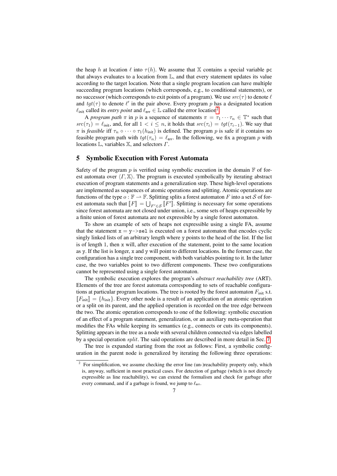the heap h at location  $\ell$  into  $\tau (h)$ . We assume that X contains a special variable pc that always evaluates to a location from  $\mathbb{L}$ , and that every statement updates its value according to the target location. Note that a single program location can have multiple succeeding program locations (which corresponds, e.g., to conditional statements), or no successor (which corresponds to exit points of a program). We use  $src(\tau)$  to denote  $\ell$ and  $tgt(\tau)$  to denote  $\ell'$  in the pair above. Every program p has a designated location  $\ell_{\text{init}}$  called its *entry point* and  $\ell_{\text{err}} \in \mathbb{L}$  called the error location<sup>[2](#page-8-0)</sup>.

A *program path*  $\pi$  in p is a sequence of statements  $\pi = \tau_1 \cdots \tau_n \in \mathbb{T}^*$  such that  $src(\tau_1) = \ell_{init}$ , and, for all  $1 < i \leq n$ , it holds that  $src(\tau_i) = \textit{tgt}(\tau_{i-1})$ . We say that  $\pi$  is *feasible* iff  $\tau_n \circ \cdots \circ \tau_1(h_{\text{init}})$  is defined. The program p is safe if it contains no feasible program path with  $tgt(\tau_n) = \ell_{err}$ . In the following, we fix a program p with locations  $\mathbb{L}$ , variables  $\mathbb{X}$ , and selectors  $\Gamma$ .

# <span id="page-8-1"></span>5 Symbolic Execution with Forest Automata

Safety of the program p is verified using symbolic execution in the domain  $\mathbb F$  of forest automata over  $\langle \Gamma, \mathbb{X} \rangle$ . The program is executed symbolically by iterating abstract execution of program statements and a generalization step. These high-level operations are implemented as sequences of atomic operations and splitting. Atomic operations are functions of the type  $o : \mathbb{F} \to \mathbb{F}$ . Splitting splits a forest automaton F into a set S of forest automata such that  $[[F]] = \bigcup_{F' \in \mathcal{S}} [[F']]$ . Splitting is necessary for some operations since forget automate are not closed under union i.e., some sets of beens expressible by since forest automata are not closed under union, i.e., some sets of heaps expressible by a finite union of forest automata are not expressible by a single forest automaton.

To show an example of sets of heaps not expressible using a single FA, assume that the statement  $x = y \rightarrow$ sel is executed on a forest automaton that encodes cyclic singly linked lists of an arbitrary length where y points to the head of the list. If the list is of length 1, then x will, after execution of the statement, point to the same location as y. If the list is longer, x and y will point to different locations. In the former case, the configuration has a single tree component, with both variables pointing to it. In the latter case, the two variables point to two different components. These two configurations cannot be represented using a single forest automaton.

The symbolic execution explores the program's *abstract reachability tree* (ART). Elements of the tree are forest automata corresponding to sets of reachable configurations at particular program locations. The tree is rooted by the forest automaton  $F_{\text{init}}$  s.t.  $\llbracket F_{\text{init}} \rrbracket = \{h_{\text{init}}\}.$  Every other node is a result of an application of an atomic operation or a split on its parent, and the applied operation is recorded on the tree edge between the two. The atomic operation corresponds to one of the following: symbolic execution of an effect of a program statement, generalization, or an auxiliary meta-operation that modifies the FAs while keeping its semantics (e.g., connects or cuts its components). Splitting appears in the tree as a node with several children connected via edges labelled by a special operation *split*. The said operations are described in more detail in Sec. [7.](#page-12-0)

The tree is expanded starting from the root as follows: First, a symbolic configuration in the parent node is generalized by iterating the following three operations:

<span id="page-8-0"></span> $2^2$  For simplification, we assume checking the error line (un-)reachability property only, which is, anyway, sufficient in most practical cases. For detection of garbage (which is not directly expressible as line reachability), we can extend the formalism and check for garbage after every command, and if a garbage is found, we jump to  $\ell_{err}$ .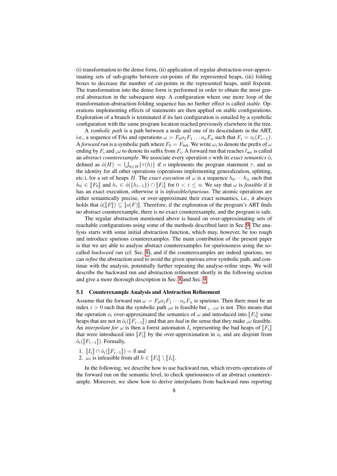(i) transformation to the dense form, (ii) application of regular abstraction over-approximating sets of sub-graphs between cut-points of the represented heaps, (iii) folding boxes to decrease the number of cut-points in the represented heaps, until fixpoint. The transformation into the dense form is performed in order to obtain the most general abstraction in the subsequent step. A configuration where one more loop of the transformation-abstraction-folding sequence has no further effect is called *stable*. Operations implementing effects of statements are then applied on stable configurations. Exploration of a branch is terminated if its last configuration is entailed by a symbolic configuration with the same program location reached previously elsewhere in the tree.

A *symbolic path* is a path between a node and one of its descendants in the ART, i.e., a sequence of FAs and operations  $\omega = F_0 \overline{o_1} F_1 \dots \overline{o_n} F_n$  such that  $F_i = \overline{o_i} (F_{i-1})$ . A *forward run* is a symbolic path where  $F_0 = F_{\text{init}}$ . We write  $\omega_i$  to denote the prefix of  $\omega$ ending by  $F_i$  and  $_i\omega$  to denote its suffix from  $F_i.$  A forward run that reaches  $\ell_{\mathsf{err}}$  is called an *abstract counterexample*. We associate every operation  $o$  with its *exact semantics*  $\hat{o}$ , defined as  $\hat{o}(H) = \bigcup_{h \in H} \{\tau(h)\}\$ if o implements the program statement  $\tau$ , and as the identity for all other operations (operations implementing generalization, splitting, etc.), for a set of heaps H. The *exact execution* of  $\omega$  is a sequence  $h_0 \cdots h_n$  such that  $h_0$  ∈  $\llbracket F_0 \rrbracket$  and  $h_i$  ∈  $\hat{o}(\lbrace h_{i-1} \rbrace) \cap \llbracket F_i \rrbracket$  for  $0 < i \leq n$ . We say that  $\omega$  is *feasible* if it has an exact execution, otherwise it is *infeasible/spurious*. The atomic operations are either semantically precise, or over-approximate their exact semantics, i.e., it always holds that  $\hat{o}(\llbracket F \rrbracket) \subseteq [o(F)]$ . Therefore, if the exploration of the program's ART finds no abstract counterexample, there is no exact counterexample, and the program is safe.

The regular abstraction mentioned above is based on over-approximating sets of reachable configurations using some of the methods described later in Sec. [9.](#page-15-0) The analysis starts with some initial abstraction function, which may, however, be too rough and introduce spurious counterexamples. The main contribution of the present paper is that we are able to analyse abstract counterexamples for spuriousness using the socalled *backward run* (cf. Sec. [8\)](#page-14-0), and if the counterexamples are indeed spurious, we can *refine* the abstraction used to avoid the given spurious error symbolic path, and continue with the analysis, potentially further repeating the analyse-refine steps. We will describe the backward run and abstraction refinement shortly in the following section and give a more thorough description in Sec. [8](#page-14-0) and Sec. [9.](#page-15-0)

#### <span id="page-9-0"></span>5.1 Counterexample Analysis and Abstraction Refinement

Assume that the forward run  $\omega = F_0 \omega_1 F_1 \cdots \omega_n F_n$  is spurious. Then there must be an index  $i > 0$  such that the symbolic path  $i\omega$  is feasible but  $i^{-1}\omega$  is not. This means that the operation  $o_i$  over-approximated the semantics of  $\omega$  and introduced into  $\llbracket F_i \rrbracket$  some heaps that are not in  $\hat{o}_i([F_{i-1}])$  and that are *bad* in the sense that they make  $_i\omega$  feasible. An *interpolant for*  $\omega$  is then a forest automaton  $I_i$  representing the bad heaps of  $\llbracket F_i \rrbracket$ that were introduced into  $\llbracket F_i \rrbracket$  by the over-approximation in  $o_i$  and are disjoint from  $\hat{o}_i(\llbracket F_{i-1} \rrbracket)$ . Formally,

- 1.  $\llbracket I_i \rrbracket \cap \hat{o}_i(\llbracket F_{i-1} \rrbracket) = \emptyset$  and
- 2.  $\omega_i$  is infeasible from all  $h \in [F_i] \setminus [I_i]$ .

In the following, we describe how to use backward run, which reverts operations of the forward run on the semantic level, to check spuriousness of an abstract counterexample. Moreover, we show how to derive interpolants from backward runs reporting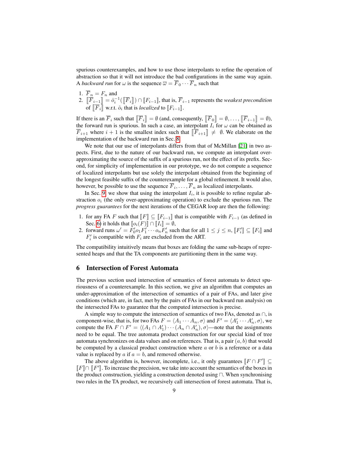spurious counterexamples, and how to use those interpolants to refine the operation of abstraction so that it will not introduce the bad configurations in the same way again. A *backward run* for  $\omega$  is the sequence  $\overline{\omega} = \overline{F}_0 \cdots \overline{F}_n$  such that

1.  $F_n = F_n$  and 2.  $\[\overline{F}_{i-1}\] = \hat{o}_i^{-1}(\[\overline{F}_i]\]) \cap [F_{i-1}]\]$ , that is,  $\overline{F}_{i-1}$  represents the *weakest precondition* of  $\[\overline{F}_i]\]$  w.r.t.  $\hat{o}_i$  that is *localized* to  $\[\overline{F}_{i-1}\]$ .

If there is an  $\overline{F}_i$  such that  $\overline{F}_i$  =  $\emptyset$  (and, consequently,  $\overline{F}_0$  =  $\emptyset$ ,...,  $\overline{F}_{i-1}$  =  $\emptyset$ ), the forward run is spurious. In such a case, an interpolant  $I_i$  for  $\omega$  can be obtained as  $\overline{F}_{i+1}$  where  $i+1$  is the smallest index such that  $\left\| \overline{F}_{i+1} \right\| \neq \emptyset$ . We elaborate on the implementation of the backward run in Sec. [8.](#page-14-0)

We note that our use of interpolants differs from that of McMillan [\[21\]](#page-20-8) in two aspects. First, due to the nature of our backward run, we compute an interpolant overapproximating the source of the suffix of a spurious run, not the effect of its prefix. Second, for simplicity of implementation in our prototype, we do not compute a sequence of localized interpolants but use solely the interpolant obtained from the beginning of the longest feasible suffix of the counterexample for a global refinement. It would also, however, be possible to use the sequence  $F_i, \ldots, F_n$  as localized interpolants.

In Sec. [9,](#page-15-0) we show that using the interpolant  $I_i$ , it is possible to refine regular abstraction  $o_i$  (the only over-approximating operation) to exclude the spurious run. The *progress guarantees* for the next iterations of the CEGAR loop are then the following:

- 1. for any FA F such that  $\llbracket F \rrbracket \subseteq \llbracket F_{i-1} \rrbracket$  that is compatible with  $F_{i-1}$  (as defined in Sec. [6\)](#page-10-0) it holds that  $\llbracket o_i(F) \rrbracket \cap \llbracket I_i \rrbracket = \emptyset$ ,
- 2. forward runs  $\omega' = F'_0 \circ_1 F'_1 \cdots \circ_n F'_n$  such that for all  $1 \leq j \leq n$ ,  $[[F'_i]] \subseteq [[F_i]]$  and  $F'_i$  is compatible with  $F_i$  are excluded from the APT  $F_i'$  is compatible with  $F_i$  are excluded from the ART.

The compatibility intuitively means that boxes are folding the same sub-heaps of represented heaps and that the TA components are partitioning them in the same way.

# <span id="page-10-0"></span>6 Intersection of Forest Automata

The previous section used intersection of semantics of forest automata to detect spuriousness of a counterexample. In this section, we give an algorithm that computes an under-approximation of the intersection of semantics of a pair of FAs, and later give conditions (which are, in fact, met by the pairs of FAs in our backward run analysis) on the intersected FAs to guarantee that the computed intersection is precise.

A simple way to compute the intersection of semantics of two FAs, denoted as ∩, is component-wise, that is, for two FAs  $F = \langle A_1 \cdots A_n, \sigma \rangle$  and  $F' = \langle A'_1 \cdots A'_n, \sigma \rangle$ , we compute the FA  $F \cap F' = \langle (A_1 \cap A'_1) \cdots (A_n \cap A'_n), \sigma \rangle$ —note that the assignments need to be equal. The tree automata product construction for our special kind of tree automata synchronizes on data values and on references. That is, a pair  $(a, b)$  that would be computed by a classical product construction where  $a$  or  $b$  is a reference or a data value is replaced by  $a$  if  $a = b$ , and removed otherwise.

The above algorithm is, however, incomplete, i.e., it only guarantees  $\llbracket F \cap F' \rrbracket \subseteq$  $\llbracket F \rrbracket \cap \llbracket F' \rrbracket$ . To increase the precision, we take into account the semantics of the boxes in the product construction viabling a construction denoted using  $\Box$  When synchronising the product construction, yielding a construction denoted using  $\Box$ . When synchronising two rules in the TA product, we recursively call intersection of forest automata. That is,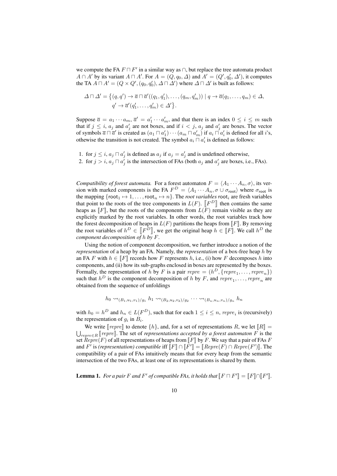we compute the FA  $F \sqcap F'$  in a similar way as  $\cap$ , but replace the tree automata product  $A \cap A'$  by its variant  $A \cap A'$ . For  $A = (Q, q_0, \Delta)$  and  $A' = (Q', q'_0, \Delta')$ , it computes the TA  $A \sqcap A' = (Q \times Q', (q_0, q'_0), \Delta \sqcap \Delta')$  where  $\Delta \sqcap \Delta'$  is built as follows:

$$
\Delta \sqcap \Delta' = \{(q, q') \to \overline{a} \sqcap \overline{a}'((q_1, q'_1), \dots, (q_m, q'_m)) \mid q \to \overline{a}(q_1, \dots, q_m) \in \Delta, q' \to \overline{a}'(q'_1, \dots, q'_m) \in \Delta'\}.
$$

Suppose  $\overline{a} = a_1 \cdots a_m$ ,  $\overline{a}' = a'_1 \cdots a'_m$ , and that there is an index  $0 \le i \le m$  such that if  $j \leq i$ ,  $a_j$  and  $a'_j$  are not boxes, and if  $i < j$ ,  $a_j$  and  $a'_j$  are boxes. The vector of symbols  $\overline{a} \sqcap \overline{a}'$  is created as  $(a_1 \sqcap a'_1) \cdots (a_m \sqcap a'_m)$  if  $a_i \sqcap a'_i$  is defined for all i's, othewise the transition is not created. The symbol  $a_i \sqcap a'_i$  is defined as follows:

1. for  $j \leq i$ ,  $a_j \sqcap a'_j$  is defined as  $a_j$  if  $a_j = a'_j$  and is undefined otherwise, 2. for  $j > i$ ,  $a_j \sqcap a'_j$  is the intersection of FAs (both  $a_j$  and  $a'_j$  are boxes, i.e., FAs).

*Compatibility of forest automata.* For a forest automaton  $F = \langle A_1 \cdots A_n, \sigma \rangle$ , its version with marked components is the FA  $F^D = \langle A_1 \cdots A_n, \sigma \cup \sigma_{\text{root}} \rangle$  where  $\sigma_{\text{root}}$  is the mapping  $\{root_1 \mapsto 1, \ldots, root_n \mapsto n\}$ . The *root variables* root<sub>i</sub> are fresh variables that point to the roots of the tree components in  $L(F)$ .  $\llbracket F^D \rrbracket$  then contains the same heaps as  $\llbracket F \rrbracket$ , but the roots of the components from  $L(F)$  remain visible as they are explicitly marked by the root variables. In other words, the root variables track how the forest decomposition of heaps in  $L(F)$  partitions the heaps from  $\llbracket F \rrbracket$ . By removing the root variables of  $h^D \in [\![F^D]\!]$ , we get the original heap  $h \in [\![F]\!]$ . We call  $h^D$  the component decomposition of  $h$  by  $F$ *component decomposition of* h *by* F.

Using the notion of component decomposition, we further introduce a notion of the *representation* of a heap by an FA. Namely, the *representation* of a box-free heap h by an FA F with  $h \in \llbracket F \rrbracket$  records how F represents h, i.e., (i) how F decomposes h into components, and (ii) how its sub-graphs enclosed in boxes are represented by the boxes. Formally, the representation of h by F is a pair  $repre = (h^D, \{repre_1, \ldots, repre_n\})$ such that  $h^D$  is the component decomposition of h by F, and  $repre_1, \ldots, repre_n$  are obtained from the sequence of unfoldings

$$
h_0 \sim_{(B_1, u_1, v_1)/g_1} h_1 \sim_{(B_2, u_2, v_2)/g_2} \cdots \sim_{(B_n, u_n, v_n)/g_n} h_n
$$

with  $h_0 = h^D$  and  $h_n \in L(F^D)$ , such that for each  $1 \le i \le n$ , repre<sub>i</sub> is (recursively) the representation of  $g_i$  in  $B_i$ .

We write  $[repre]$  to denote  $\{h\}$ , and, for a set of representations R, we let  $[ R ] = \bigcup_{repre \in R} [repre]$ . The set of *representations accepted by a forest automaton* F is the set *Benco*(E) of all representations of beaps from set  $\overline{Repre}(F)$  of all representations of heaps from  $\llbracket F \rrbracket$  by F. We say that a pair of FAs F and F' is *(representation) compatible* iff  $\llbracket F \rrbracket \cap \llbracket F' \rrbracket = \llbracket Repre(F) \cap Repre(F') \rrbracket$ . The compatibility of a pair of EAs intuitively means that for every bean from the semantic compatibility of a pair of FAs intuitively means that for every heap from the semantic intersection of the two FAs, at least one of its representations is shared by them.

**Lemma 1.** For a pair F and F' of compatible FAs, it holds that  $[[F \sqcap F']] = [[F] \cap [[F']]$ .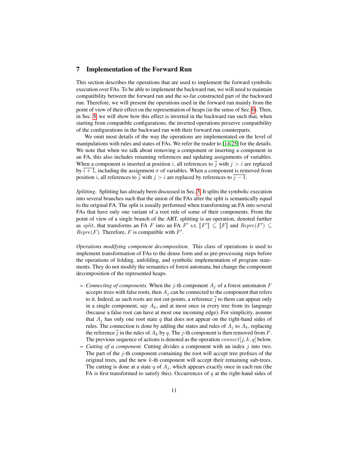# <span id="page-12-0"></span>7 Implementation of the Forward Run

This section describes the operations that are used to implement the forward symbolic execution over FAs. To be able to implement the backward run, we will need to maintain compatibility between the forward run and the so-far constructed part of the backward run. Therefore, we will present the operations used in the forward run mainly from the point of view of their effect on the representation of heaps (in the sense of Sec. [6\)](#page-10-0). Then, in Sec. [8,](#page-14-0) we will show how this effect is inverted in the backward run such that, when starting from compatible configurations, the inverted operations preserve compatibility of the configurations in the backward run with their forward run counterparts.

We omit most details of the way the operations are implementated on the level of manipulations with rules and states of FAs. We refer the reader to [\[14](#page-19-0)[,25\]](#page-20-9) for the details. We note that when we talk about removing a component or inserting a component in an FA, this also includes renaming references and updating assignments of variables. When a component is inserted at position i, all references to  $\overline{j}$  with  $j > i$  are replaced by  $\overline{i+1}$ , including the assignment  $\sigma$  of variables. When a component is removed from position *i*, all references to  $\overline{j}$  with  $j > i$  are replaced by references to  $\overline{j-1}$ .

*Splitting.* Splitting has already been discussed in Sec. [5.](#page-8-1) It splits the symbolic execution into several branches such that the union of the FAs after the split is semantically equal to the original FA. The split is usually performed when transforming an FA into several FAs that have only one variant of a root rule of some of their components. From the point of view of a single branch of the ART, splitting is an operation, denoted further as split, that transforms an FA F into an FA F' s.t.  $[[F']] \subseteq [[F]]$  and  $Repre(F') \subseteq$ <br> $Repre(F')$  Therefore F is compatible with  $F'$  $Repre(F)$ . Therefore, F is compatible with F'.

*Operations modifying component decomposition.* This class of operations is used to implement transformation of FAs to the dense form and as pre-processing steps before the operations of folding, unfolding, and symbolic implementation of program statements. They do not modify the semantics of forest automata, but change the component decomposition of the represented heaps.

- *Connecting of components*. When the j-th component  $A_i$  of a forest automaton  $F$ accepts trees with false roots, then  $A_j$  can be connected to the component that refers to it. Indeed, as such roots are not cut-points, a reference  $\overline{j}$  to them can appear only in a single component, say  $A_k$ , and at most once in every tree from its language (because a false root can have at most one incoming edge). For simplicity, assume that  $A_i$  has only one root state q that does not appear on the right-hand sides of rules. The connection is done by adding the states and rules of  $A_i$  to  $A_k$ , replacing the reference  $\overline{j}$  in the rules of  $A_k$  by q. The j-th component is then removed from F. The previous sequence of actions is denoted as the operation  $connect[j, k, q]$  below.
- *Cutting of a component.* Cutting divides a component with an index j into two. The part of the  $j$ -th component containing the root will accept tree prefixes of the original trees, and the new k-th component will accept their remaining sub-trees. The cutting is done at a state q of  $A_j$ , which appears exactly once in each run (the FA is first transformed to satisfy this). Occurrences of  $q$  at the right-hand sides of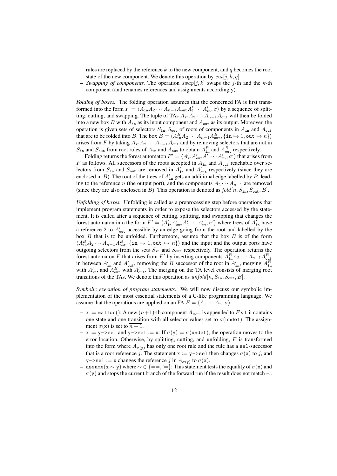rules are replaced by the reference  $\overline{k}$  to the new component, and q becomes the root state of the new component. We denote this operation by  $cut[j, k, q]$ .

– *Swapping of components*. The operation  $swap[j, k]$  swaps the j-th and the k-th component (and renames references and assignments accordingly).

*Folding of boxes.* The folding operation assumes that the concerned FA is first transformed into the form  $F = \langle A_{in} A_2 \cdots A_{n-1} A_{out} A'_1 \cdots A'_m, \sigma \rangle$  by a sequence of splitting, cutting, and swapping. The tuple of TAs  $A_{in}A_2 \cdots A_{n-1}A_{out}$  will then be folded into a new box B with  $A_{in}$  as its input component and  $A_{out}$  as its output. Moreover, the operation is given sets of selectors  $S_{in}$ ,  $S_{out}$  of roots of components in  $A_{in}$  and  $A_{out}$ that are to be folded into B. The box  $B = \langle A_{\text{in}}^B A_2 \cdots A_{n-1} A_{\text{out}}^B, \{\text{in} \mapsto 1, \text{out} \mapsto n\}\rangle$ arises from F by taking  $A_{in}A_2 \cdots A_{n-1}A_{out}$  and by removing selectors that are not in  $S_{\text{in}}$  and  $S_{\text{out}}$  from root rules of  $A_{\text{in}}$  and  $A_{\text{out}}$  to obtain  $A_{\text{in}}^B$  and  $A_{\text{out}}^B$  respectively.

Folding returns the forest automaton  $F' = \langle A'_{in} A'_{out} A'_1 \cdots A'_m, \sigma' \rangle$  that arises from  $F$  as follows. All successors of the roots accepted in  $A_{\text{in}}$  and  $A_{\text{out}}$  reachable over selectors from  $S_{\text{in}}$  and  $S_{\text{out}}$  are removed in  $A'_{\text{in}}$  and  $A'_{\text{out}}$  respectively (since they are enclosed in B). The root of the trees of  $A'_{\text{in}}$  gets an additional edge labelled by B, leading to the reference  $\overline{n}$  (the output port), and the components  $A_2 \cdots A_{n-1}$  are removed (since they are also enclosed in B). This operation is denoted as  $fold[n, S_{in}, S_{out}, B]$ .

*Unfolding of boxes.* Unfolding is called as a preprocessing step before operations that implement program statements in order to expose the selectors accessed by the statement. It is called after a sequence of cutting, splitting, and swapping that changes the forest automaton into the form  $F' = \langle A'_{in} A'_{out} A'_1 \cdots A'_m, \sigma' \rangle$  where trees of  $A'_{in}$  have a reference  $\overline{2}$  to  $A'_{\text{out}}$  accessible by an edge going from the root and labelled by the box  $B$  that is to be unfolded. Furthermore, assume that the box  $B$  is of the form  $\langle A_{\text{in}}^B A_2 \cdots A_{n-1} A_{\text{out}}^B, \{\text{in} \mapsto 1, \text{out} \mapsto n\}\rangle$  and the input and the output ports have outgoing selectors from the sets  $S_{in}$  and  $S_{out}$  respectively. The operation returns the forest automaton F that arises from F' by inserting components  $A_{\text{in}}^B A_2 \cdots A_{n-1} A_{\text{out}}^B$ <br>in between  $A'_{\text{in}}$  and  $A'_{\text{out}}$ , removing the B successor of the root in  $A'_{\text{in}}$ , merging  $A_{\text{in}}^B$ with  $A'_{in}$ , and  $A_{out}^B$  with  $A'_{out}$ . The merging on the TA level consists of merging root transitions of the TAs. We denote this operation as  $unfold[n, S_{in}, S_{out}, B]$ .

*Symbolic execution of program statements.* We will now discuss our symbolic implementation of the most essential statements of a C-like programming language. We assume that the operations are applied on an FA  $F = \langle A_1 \cdots A_n, \sigma \rangle$ .

- $x := \text{malloc}()$ : A new  $(n+1)$ -th component  $A_{new}$  is appended to F s.t. it contains one state and one transition with all selector values set to  $\sigma$  (undef). The assignment  $\sigma(x)$  is set to  $\overline{n+1}$ .
- $x := y \rightarrow \text{sel}$  and  $y \rightarrow \text{sel} := x$ : If  $\sigma(y) = \sigma(\text{undef})$ , the operation moves to the error location. Otherwise, by splitting, cutting, and unfolding,  $F$  is transformed into the form where  $A_{\sigma(y)}$  has only one root rule and the rule has a sel-successor that is a root reference  $\overline{j}$ . The statement  $x := y \rightarrow$ sel then changes  $\sigma(x)$  to  $\overline{j}$ , and y->sel := x changes the reference  $\overline{j}$  in  $A_{\sigma(y)}$  to  $\sigma(x)$ .
- assume(x  $\sim$  y) where  $\sim \in \{ ==, != \}$ : This statement tests the equality of  $\sigma$ (x) and  $\sigma(y)$  and stops the current branch of the forward run if the result does not match  $\sim$ .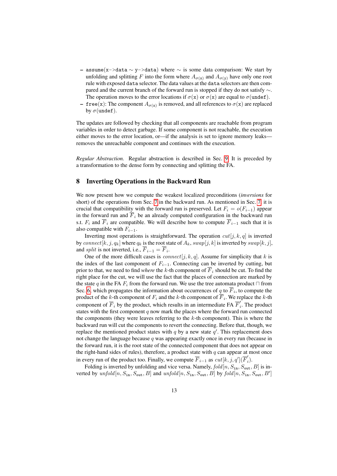- assume(x->data  $\sim$  y->data) where  $\sim$  is some data comparison: We start by unfolding and splitting F into the form where  $A_{\sigma(x)}$  and  $A_{\sigma(y)}$  have only one root rule with exposed data selector. The data values at the data selectors are then compared and the current branch of the forward run is stopped if they do not satisfy ∼. The operation moves to the error locations if  $\sigma(x)$  or  $\sigma(x)$  are equal to  $\sigma(\text{undef})$ .
- $\texttt{-}$  free(x): The component  $A_{\sigma(\textbf{x})}$  is removed, and all references to  $\sigma(\textbf{x})$  are replaced by  $\sigma$ (undef).

The updates are followed by checking that all components are reachable from program variables in order to detect garbage. If some component is not reachable, the execution either moves to the error location, or—if the analysis is set to ignore memory leaks removes the unreachable component and continues with the execution.

*Regular Abstraction.* Regular abstraction is described in Sec. [9.](#page-15-0) It is preceded by a transformation to the dense form by connecting and splitting the FA.

# <span id="page-14-0"></span>8 Inverting Operations in the Backward Run

We now present how we compute the weakest localized preconditions (*inversions* for short) of the operations from Sec. [7](#page-12-0) in the backward run. As mentioned in Sec. [7,](#page-12-0) it is crucial that compatibility with the forward run is preserved. Let  $F_i = o(F_{i-1})$  appear in the forward run and  $\overline{F}_i$  be an already computed configuration in the backward run s.t.  $F_i$  and  $\overline{F}_i$  are compatible. We will describe how to compute  $\overline{F}_{i-1}$  such that it is also compatible with  $F_{i-1}$ .

Inverting most operations is straightforward. The operation  $cut[i, k, q]$  is inverted by connect[k, j, qk] where  $q_k$  is the root state of  $A_k$ , swap[j, k] is inverted by swap[k, j], and *split* is not inverted, i.e.,  $\overline{F}_{i-1} = \overline{F}_i$ .

One of the more difficult cases is *connect* [j, k, q]. Assume for simplicity that k is the index of the last component of  $F_{i-1}$ . Connecting can be inverted by cutting, but prior to that, we need to find *where* the k-th component of  $\overline{F}_i$  should be cut. To find the right place for the cut, we will use the fact that the places of connection are marked by the state q in the FA  $F_i$  from the forward run. We use the tree automata product  $\Box$  from Sec. [6,](#page-10-0) which propagates the information about occurrences of  $q$  to  $F_i$ , to compute the product of the k-th component of  $F_i$  and the k-th component of  $F_i$ . We replace the k-th component of  $\overline{F}_i$  by the product, which results in an intermediate FA  $\overline{F}'_i$  $i<sub>i</sub>$ . The product states with the first component  $q$  now mark the places where the forward run connected the components (they were leaves referring to the  $k$ -th component). This is where the backward run will cut the components to revert the connecting. Before that, though, we replace the mentioned product states with  $q$  by a new state  $q'$ . This replacement does not change the language because  $q$  was appearing exactly once in every run (because in the forward run, it is the root state of the connected component that does not appear on the right-hand sides of rules), therefore, a product state with  $q$  can appear at most once in every run of the product too. Finally, we compute  $\overline{F}_{i-1}$  as  $cut[k, j, q']$   $(\overline{F}_{i}^{j})$  $\binom{n}{i}$ .

Folding is inverted by unfolding and vice versa. Namely,  $fold[n, S_{in}, S_{out}, B]$  is inverted by  $unfold[n, S_{\text{in}}, S_{\text{out}}, B]$  and  $unfold[n, S_{\text{in}}, S_{\text{out}}, B]$  by  $fold[n, S_{\text{in}}, S_{\text{out}}, B']$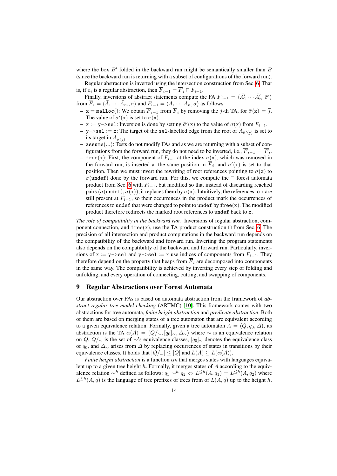where the box  $B'$  folded in the backward run might be semantically smaller than  $B$ (since the backward run is returning with a subset of configurations of the forward run).

Regular abstraction is inverted using the intersection construction from Sec. [6.](#page-10-0) That is, if  $o_i$  is a regular abstraction, then  $F_{i-1} = F_i \sqcap F_{i-1}$ .

Finally, inversions of abstract statements compute the FA  $\overline{F}_{i-1} = \langle \overline{A}'_1 \cdots \overline{A}'_n, \overline{\sigma}' \rangle$ from  $\overline{F}_i = \langle \overline{A}_1 \cdots \overline{A}_m, \overline{\sigma} \rangle$  and  $F_{i-1} = \langle A_1 \cdots \overline{A}_n, \sigma \rangle$  as follows:

- x = malloc(): We obtain  $\overline{F}_{i-1}$  from  $\overline{F}_i$  by removing the j-th TA, for  $\overline{\sigma}(\mathbf{x}) = \overline{j}$ . The value of  $\bar{\sigma}'(x)$  is set to  $\sigma(x)$ .
- $x := y \rightarrow \text{sel: Inversion is done by setting } \bar{\sigma}'(x)$  to the value of  $\sigma(x)$  from  $F_{i-1}$ .
- $-$  y->sel := x: The target of the sel-labelled edge from the root of  $A_{\bar{\sigma}'(y)}$  is set to its target in  $A_{\sigma(y)}$ .
- assume(...): Tests do not modify FAs and as we are returning with a subset of configurations from the forward run, they do not need to be inverted, i.e.,  $F_{i-1} = F_i$ .
- free(x): First, the component of  $F_{i-1}$  at the index  $\sigma(x)$ , which was removed in the forward run, is inserted at the same position in  $\overline{F}_i$ , and  $\overline{\sigma}'(x)$  is set to that position. Then we must invert the rewriting of root references pointing to  $\sigma(x)$  to  $\sigma$ (undef) done by the forward run. For this, we compute the  $\Box$  forest automata product from Sec. [6](#page-10-0) with  $F_{i-1}$ , but modified so that instead of discarding reached pairs  $(\sigma(\text{under}), \sigma(x))$ , it replaces them by  $\sigma(x)$ . Intuitively, the references to x are still present at  $F_{i-1}$ , so their occurrences in the product mark the occurrences of references to undef that were changed to point to undef by  $free(x)$ . The modified product therefore redirects the marked root references to undef back to x.

*The role of compatibility in the backward run.* Inversions of regular abstraction, component connection, and  $free(x)$ , use the TA product construction  $\Box$  from Sec. [6.](#page-10-0) The precision of all intersection and product computations in the backward run depends on the compatibility of the backward and forward run. Inverting the program statements also depends on the compatibility of the backward and forward run. Particularly, inversions of  $x := y$ ->sel and y->sel := x use indices of components from  $F_{i-1}$ . They therefore depend on the property that heaps from  $\overline{F}_i$  are decomposed into components in the same way. The compatibility is achieved by inverting every step of folding and unfolding, and every operation of connecting, cutting, and swapping of components.

# <span id="page-15-0"></span>9 Regular Abstractions over Forest Automata

Our abstraction over FAs is based on automata abstraction from the framework of *abstract regular tree model checking* (ARTMC) [\[10\]](#page-19-2). This framework comes with two abstractions for tree automata, *finite height abstraction* and *predicate abstraction*. Both of them are based on merging states of a tree automaton that are equivalent according to a given equivalence relation. Formally, given a tree automaton  $A = (Q, q_0, \Delta)$ , its abstraction is the TA  $\alpha(A) = (Q/\sim, [q_0] \sim, \Delta_{\sim})$  where  $\sim$  is an equivalence relation on  $Q$ ,  $Q/\sim$  is the set of ∼'s equivalence classes,  $[q_0]_{\sim}$  denotes the equivalence class of  $q_0$ , and  $\Delta_{\sim}$  arises from  $\Delta$  by replacing occurrences of states in transitions by their equivalence classes. It holds that  $|Q/\sim| \leq |Q|$  and  $L(A) \subseteq L(\alpha(A)).$ 

*Finite height abstraction* is a function  $\alpha_h$  that merges states with languages equivalent up to a given tree height  $h$ . Formally, it merges states of  $A$  according to the equivalence relation  $\sim^h$  defined as follows:  $q_1 \sim^h q_2 \Leftrightarrow L^{\leq h}(A, q_1) = L^{\leq h}(A, q_2)$  where  $L^{\leq h}(A,q)$  is the language of tree prefixes of trees from of  $L(A,q)$  up to the height h.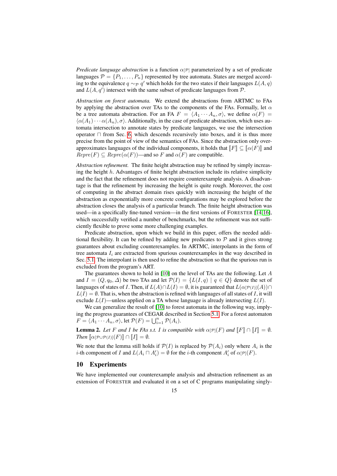*Predicate language abstraction* is a function  $\alpha$ [P] parameterized by a set of predicate languages  $\mathcal{P} = \{P_1, \ldots, P_n\}$  represented by tree automata. States are merged according to the equivalence  $q \sim_{\mathcal{P}} q'$  which holds for the two states if their languages  $L(A, q)$ and  $L(A, q')$  intersect with the same subset of predicate languages from  $P$ .

*Abstraction on forest automata.* We extend the abstractions from ARTMC to FAs by applying the abstraction over TAs to the components of the FAs. Formally, let  $\alpha$ be a tree automata abstraction. For an FA  $F = \langle A_1 \cdots A_n, \sigma \rangle$ , we define  $\alpha(F) =$  $\langle \alpha(A_1)\cdots \alpha(A_n), \sigma \rangle$ . Additionally, in the case of predicate abstraction, which uses automata intersection to annotate states by predicate languages, we use the intersection operator  $\Box$  from Sec. [6,](#page-10-0) which descends recursively into boxes, and it is thus more precise from the point of view of the semantics of FAs. Since the abstraction only overapproximates languages of the individual components, it holds that  $\llbracket F \rrbracket \subset \llbracket \alpha(F) \rrbracket$  and  $Repre(F) \subseteq Repre(\alpha(F))$ —and so F and  $\alpha(F)$  are compatible.

*Abstraction refinement.* The finite height abstraction may be refined by simply increasing the height  $h$ . Advantages of finite height abstraction include its relative simplicity and the fact that the refinement does not require counterexample analysis. A disadvantage is that the refinement by increasing the height is quite rough. Moreover, the cost of computing in the abstract domain rises quickly with increasing the height of the abstraction as exponentially more concrete configurations may be explored before the abstraction closes the analysis of a particular branch. The finite height abstraction was used—in a specifically fine-tuned version—in the first versions of FORESTER [\[14](#page-19-0)[,16\]](#page-19-1), which successfully verified a number of benchmarks, but the refinement was not sufficiently flexible to prove some more challenging examples.

Predicate abstraction, upon which we build in this paper, offers the needed additional flexibility. It can be refined by adding new predicates to  $\mathcal P$  and it gives strong guarantees about excluding counterexamples. In ARTMC, interpolants in the form of tree automata  $I_i$  are extracted from spurious counterexamples in the way described in Sec. [5.1.](#page-9-0) The interpolant is then used to refine the abstraction so that the spurious run is excluded from the program's ART.

The guarantees shown to hold in [\[10\]](#page-19-2) on the level of TAs are the following. Let A and  $I = (Q, q_0, \Delta)$  be two TAs and let  $\mathcal{P}(I) = \{L(I, q) | q \in Q\}$  denote the set of languages of states of I. Then, if  $L(A) \cap L(I) = \emptyset$ , it is guaranteed that  $L(\alpha(p(I)|(A))) \cap$  $L(I) = \emptyset$ . That is, when the abstraction is refined with languages of all states of I, it will exclude  $L(I)$ —unless applied on a TA whose language is already intersecting  $L(I)$ .

We can generalize the result of [\[10\]](#page-19-2) to forest automata in the following way, implying the progress guarantees of CEGAR described in Section [5.1.](#page-9-0) For a forest automaton  $F = \langle A_1 \cdots A_n, \sigma \rangle$ , let  $\mathcal{P}(F) = \bigcup_{i=1}^n \mathcal{P}(A_i)$ .

**Lemma 2.** *Let* F *and* I *be* FAs *s.t.* I *is compatible with*  $\alpha$ [P](F) *and*  $\llbracket F \rrbracket \cap \llbracket I \rrbracket = \emptyset$ *. Then*  $\llbracket \alpha[\mathcal{P} \cup \mathcal{P}(I)](F) \rrbracket \cap \llbracket I \rrbracket = \emptyset$ .

We note that the lemma still holds if  $P(I)$  is replaced by  $P(A_i)$  only where  $A_i$  is the *i*-th component of I and  $L(A_i \sqcap A'_i) = \emptyset$  for the *i*-th component  $A'_i$  of  $\alpha(p)(F)$ .

# <span id="page-16-0"></span>10 Experiments

We have implemented our counterexample analysis and abstraction refinement as an extension of FORESTER and evaluated it on a set of C programs manipulating singly-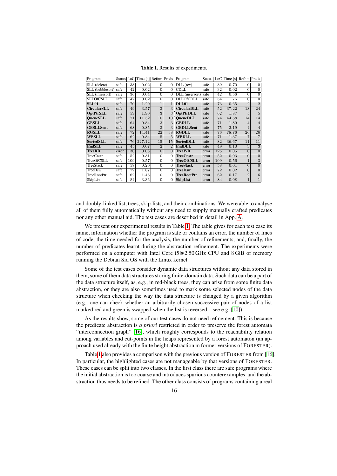<span id="page-17-0"></span>Table 1. Results of experiments.

| Program            | Status   LoC |     | Time [s] Refnm Preds |                |                | Program            | <b>Status</b> |     | $LoC$ Time [s] Refnm Preds |                |                |
|--------------------|--------------|-----|----------------------|----------------|----------------|--------------------|---------------|-----|----------------------------|----------------|----------------|
| SLL (delete)       | safe         | 33  | 0.02                 | $\Omega$       | $\Omega$       | DLL (rev)          | safe          | 39  | 0.70                       | $\Omega$       | $\overline{0}$ |
| SLL (bubblesort)   | safe         | 42  | 0.02                 | $\overline{0}$ | $\Omega$       | <b>CDLL</b>        | safe          | 32  | 0.02                       | $\Omega$       | $\overline{0}$ |
| SLL (insersort)    | safe         | 36  | 0.04                 | $\Omega$       | $\Omega$       | DLL (insersort)    | safe          | 42  | 0.56                       | $\Omega$       | $\Omega$       |
| <b>SLLOfCSLL</b>   | safe         | 47  | 0.02                 | $\Omega$       | $\Omega$       | <b>DLLOfCDLL</b>   | safe          | 54  | 1.76                       | $\Omega$       | $\overline{0}$ |
| SLL01              | safe         | 70  | 1.20                 | $\overline{1}$ | $\mathbf{1}$   | DLL01              | safe          | 73  | 0.65                       | $\overline{2}$ | $\overline{2}$ |
| <b>CircularSLL</b> | safe         | 49  | 3.57                 | 3              | 3              | <b>CircularDLL</b> | safe          | 52  | 37.22                      | 18             | 24             |
| OptPtrSLL          | safe         | 59  | 1.90                 | 3              | 3              | OptPtrDLL          | safe          | 62  | 1.87                       | 5              | 5              |
| <b>OueueSLL</b>    | safe         | 71  | 11.32                | 10             | 10             | <b>OueueDLL</b>    | safe          | 74  | 44.68                      | 14             | 14             |
| <b>GBSLL</b>       | safe         | 64  | 0.84                 | 3              | 3              | <b>GBDLL</b>       | safe          | 71  | 1.89                       | $\overline{4}$ | $\overline{4}$ |
| <b>GBSLLSent</b>   | safe         | 68  | 0.85                 | 3              | 3              | <b>GBDLLSent</b>   | safe          | 75  | 2.19                       | $\overline{4}$ | $\overline{4}$ |
| <b>RGSLL</b>       | safe         | 72  | 14.41                | 22             | 38             | <b>RGDLL</b>       | safe          | 76  | 78.76                      | 26             | 26             |
| WBSLL              | safe         | 62  | 0.84                 | 5              | 5              | WBDLL              | safe          | 71  | 1.37                       | 7              | $\overline{7}$ |
| <b>SortedSLL</b>   | safe         | 76  | 227.12               | 15             | 15             | <b>SortedDLL</b>   | safe          | 82  | 36.67                      | 11             | 11             |
| <b>EndSLL</b>      | safe         | 45  | 0.07                 | $\overline{2}$ | $\overline{2}$ | <b>EndDLL</b>      | safe          | 49  | 0.10                       | 3              | $\overline{3}$ |
| <b>TreeRB</b>      | error        | 130 | 0.08                 | $\Omega$       | $\Omega$       | <b>TreeWB</b>      | error         | 125 | 0.05                       | $\Omega$       | $\overline{0}$ |
| TreeCnstr          | safe         | 52  | 0.31                 | $\overline{0}$ | $\Omega$       | <b>TreeCnstr</b>   | error         | 52  | 0.03                       | $\overline{0}$ | $\overline{0}$ |
| <b>TreeOfCSLL</b>  | safe         | 109 | 0.57                 | $\overline{0}$ | $\Omega$       | <b>TreeOfCSLL</b>  | error         | 109 | 0.56                       | $\mathbf{1}$   | 3              |
| TreeStack          | safe         | 58  | 0.20                 | $\Omega$       | $\Omega$       | <b>TreeStack</b>   | error         | 58  | 0.01                       | $\Omega$       | $\overline{0}$ |
| TreeDsw            | safe         | 72  | 1.87                 | $\Omega$       | $\Omega$       | <b>TreeDsw</b>     | error         | 72  | 0.02                       | $\overline{0}$ | $\overline{0}$ |
| <b>TreeRootPtr</b> | safe         | 62  | 1.43                 | $\overline{0}$ | $\Omega$       | <b>TreeRootPtr</b> | error         | 62  | 0.17                       | $\overline{2}$ | 6              |
| SkipList           | safe         | 84  | 3.36                 | $\Omega$       | $\Omega$       | <b>SkipList</b>    | error         | 84  | 0.08                       | $\mathbf{1}$   | $\mathbf{1}$   |

and doubly-linked list, trees, skip-lists, and their combinations. We were able to analyse all of them fully automatically without any need to supply manually crafted predicates nor any other manual aid. The test cases are described in detail in App. [A.](#page-21-0)

We present our experimental results in Table [1.](#page-17-0) The table gives for each test case its name, information whether the program is safe or contains an error, the number of lines of code, the time needed for the analysis, the number of refinements, and, finally, the number of predicates learnt during the abstraction refinement. The experiments were performed on a computer with Intel Core i5@2.50 GHz CPU and 8 GiB of memory running the Debian Sid OS with the Linux kernel.

Some of the test cases consider dynamic data structures without any data stored in them, some of them data structures storing finite-domain data. Such data can be a part of the data structure itself, as, e.g., in red-black trees, they can arise from some finite data abstraction, or they are also sometimes used to mark some selected nodes of the data structure when checking the way the data structure is changed by a given algorithm (e.g., one can check whether an arbitrarily chosen successive pair of nodes of a list marked red and green is swapped when the list is reversed—see e.g. [\[10\]](#page-19-2)).

As the results show, some of our test cases do not need refinement. This is because the predicate abstraction is *a priori* restricted in order to preserve the forest automata "interconnection graph" [\[16\]](#page-19-1), which roughly corresponds to the reachability relation among variables and cut-points in the heaps represented by a forest automaton (an approach used already with the finite height abstraction in former versions of FORESTER).

Table [1](#page-17-0) also provides a comparison with the previous version of FORESTER from [\[16\]](#page-19-1). In particular, the highlighted cases are not manageable by that versions of FORESTER. These cases can be split into two classes. In the first class there are safe programs where the initial abstraction is too coarse and introduces spurious counterexamples, and the abstraction thus needs to be refined. The other class consists of programs containing a real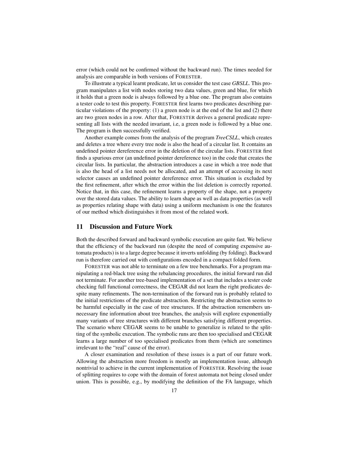error (which could not be confirmed without the backward run). The times needed for analysis are comparable in both versions of FORESTER.

To illustrate a typical learnt predicate, let us consider the test case *GBSLL*. This program manipulates a list with nodes storing two data values, green and blue, for which it holds that a green node is always followed by a blue one. The program also contains a tester code to test this property. FORESTER first learns two predicates describing particular violations of the property:  $(1)$  a green node is at the end of the list and  $(2)$  there are two green nodes in a row. After that, FORESTER derives a general predicate representing all lists with the needed invariant, i.e, a green node is followed by a blue one. The program is then successfully verified.

Another example comes from the analysis of the program *TreeCSLL*, which creates and deletes a tree where every tree node is also the head of a circular list. It contains an undefined pointer dereference error in the deletion of the circular lists. FORESTER first finds a spurious error (an undefined pointer dereference too) in the code that creates the circular lists. In particular, the abstraction introduces a case in which a tree node that is also the head of a list needs not be allocated, and an attempt of accessing its next selector causes an undefined pointer dereference error. This situation is excluded by the first refinement, after which the error within the list deletion is correctly reported. Notice that, in this case, the refinement learns a property of the shape, not a property over the stored data values. The ability to learn shape as well as data properties (as well as properties relating shape with data) using a uniform mechanism is one the features of our method which distinguishes it from most of the related work.

# 11 Discussion and Future Work

Both the described forward and backward symbolic execution are quite fast. We believe that the efficiency of the backward run (despite the need of computing expensive automata products) is to a large degree because it inverts unfolding (by folding). Backward run is therefore carried out with configurations encoded in a compact folded form.

FORESTER was not able to terminate on a few tree benchmarks. For a program manipulating a red-black tree using the rebalancing procedures, the initial forward run did not terminate. For another tree-based implementation of a set that includes a tester code checking full functional correctness, the CEGAR did not learn the right predicates despite many refinements. The non-termination of the forward run is probably related to the initial restrictions of the predicate abstraction. Restricting the abstraction seems to be harmful especially in the case of tree structures. If the abstraction remembers unnecessary fine information about tree branches, the analysis will explore exponentially many variants of tree structures with different branches satisfying different properties. The scenario where CEGAR seems to be unable to generalize is related to the splitting of the symbolic execution. The symbolic runs are then too specialised and CEGAR learns a large number of too specialised predicates from them (which are sometimes irrelevant to the "real" cause of the error).

A closer examination and resolution of these issues is a part of our future work. Allowing the abstraction more freedom is mostly an implementation issue, although nontrivial to achieve in the current implementation of FORESTER. Resolving the issue of splitting requires to cope with the domain of forest automata not being closed under union. This is possible, e.g., by modifying the definition of the FA language, which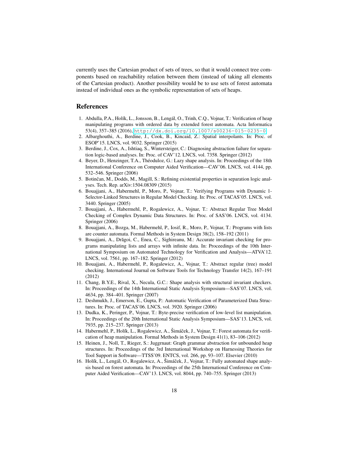currently uses the Cartesian product of sets of trees, so that it would connect tree components based on reachability relation between them (instead of taking all elements of the Cartesian product). Another possibility would be to use sets of forest automata instead of individual ones as the symbolic representation of sets of heaps.

# References

- <span id="page-19-15"></span>1. Abdulla, P.A., Holík, L., Jonsson, B., Lengál, O., Trinh, C.Q., Vojnar, T.: Verification of heap manipulating programs with ordered data by extended forest automata. Acta Informatica 53(4), 357–385 (2016), <http://dx.doi.org/10.1007/s00236-015-0235-0>
- <span id="page-19-10"></span>2. Albarghouthi, A., Berdine, J., Cook, B., Kincaid, Z.: Spatial interpolants. In: Proc. of ESOP'15. LNCS, vol. 9032. Springer (2015)
- <span id="page-19-12"></span>3. Berdine, J., Cox, A., Ishtiaq, S., Wintersteiger, C.: Diagnosing abstraction failure for separation logic-based analyses. In: Proc. of CAV'12. LNCS, vol. 7358. Springer (2012)
- <span id="page-19-11"></span>4. Beyer, D., Henzinger, T.A., Théoduloz, G.: Lazy shape analysis. In: Proceedings of the 18th International Conference on Computer Aided Verification—CAV'06. LNCS, vol. 4144, pp. 532–546. Springer (2006)
- <span id="page-19-13"></span>5. Botinčan, M., Dodds, M., Magill, S.: Refining existential properties in separation logic analyses. Tech. Rep. arXiv:1504.08309 (2015)
- <span id="page-19-14"></span>6. Bouajjani, A., Habermehl, P., Moro, P., Vojnar, T.: Verifying Programs with Dynamic 1- Selector-Linked Structures in Regular Model Checking. In: Proc. of TACAS'05. LNCS, vol. 3440. Springer (2005)
- <span id="page-19-3"></span>7. Bouajjani, A., Habermehl, P., Rogalewicz, A., Vojnar, T.: Abstract Regular Tree Model Checking of Complex Dynamic Data Structures. In: Proc. of SAS'06. LNCS, vol. 4134. Springer (2006)
- <span id="page-19-6"></span>8. Bouajjani, A., Bozga, M., Habermehl, P., Iosif, R., Moro, P., Vojnar, T.: Programs with lists are counter automata. Formal Methods in System Design 38(2), 158–192 (2011)
- <span id="page-19-4"></span>9. Bouajjani, A., Drăgoi, C., Enea, C., Sighireanu, M.: Accurate invariant checking for programs manipulating lists and arrays with infinite data. In: Proceedings of the 10th International Symposium on Automated Technology for Verification and Analysis—ATVA'12. LNCS, vol. 7561, pp. 167–182. Springer (2012)
- <span id="page-19-2"></span>10. Bouajjani, A., Habermehl, P., Rogalewicz, A., Vojnar, T.: Abstract regular (tree) model checking. International Journal on Software Tools for Technology Transfer 14(2), 167–191 (2012)
- <span id="page-19-7"></span>11. Chang, B.Y.E., Rival, X., Necula, G.C.: Shape analysis with structural invariant checkers. In: Proceedings of the 14th International Static Analysis Symposium—SAS'07. LNCS, vol. 4634, pp. 384–401. Springer (2007)
- <span id="page-19-5"></span>12. Deshmukh, J., Emerson, E., Gupta, P.: Automatic Verification of Parameterized Data Structures. In: Proc. of TACAS'06. LNCS, vol. 3920. Springer (2006)
- <span id="page-19-8"></span>13. Dudka, K., Peringer, P., Vojnar, T.: Byte-precise verification of low-level list manipulation. In: Proceedings of the 20th International Static Analysis Symposium—SAS'13. LNCS, vol. 7935, pp. 215–237. Springer (2013)
- <span id="page-19-0"></span>14. Habermehl, P., Holík, L., Rogalewicz, A., Šimáček, J., Vojnar, T.: Forest automata for verification of heap manipulation. Formal Methods in System Design 41(1), 83–106 (2012)
- <span id="page-19-9"></span>15. Heinen, J., Noll, T., Rieger, S.: Juggrnaut: Graph grammar abstraction for unbounded heap structures. In: Proceedings of the 3rd International Workshop on Harnessing Theories for Tool Support in Software—TTSS'09. ENTCS, vol. 266, pp. 93–107. Elsevier (2010)
- <span id="page-19-1"></span>16. Holík, L., Lengál, O., Rogalewicz, A., Šimáček, J., Vojnar, T.: Fully automated shape analysis based on forest automata. In: Proceedings of the 25th International Conference on Computer Aided Verification—CAV'13. LNCS, vol. 8044, pp. 740–755. Springer (2013)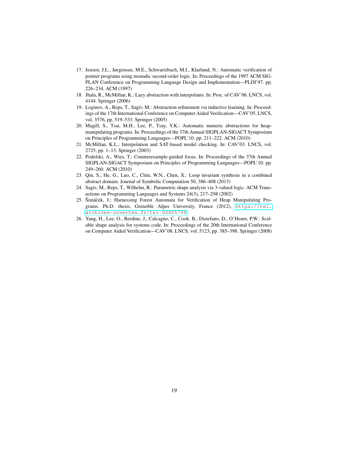- <span id="page-20-0"></span>17. Jensen, J.L., Jørgensen, M.E., Schwartzbach, M.I., Klarlund, N.: Automatic verification of pointer programs using monadic second-order logic. In: Proceedings of the 1997 ACM SIG-PLAN Conference on Programming Language Design and Implementation—PLDI'97. pp. 226–234. ACM (1997)
- <span id="page-20-7"></span>18. Jhala, R., McMillan, K.: Lazy abstraction with interpolants. In: Proc. of CAV'06. LNCS, vol. 4144. Springer (2006)
- <span id="page-20-5"></span>19. Loginov, A., Reps, T., Sagiv, M.: Abstraction refinement via inductive learning. In: Proceedings of the 17th International Conference on Computer Aided Verification—CAV'05. LNCS, vol. 3576, pp. 519–533. Springer (2005)
- <span id="page-20-3"></span>20. Magill, S., Tsai, M.H., Lee, P., Tsay, Y.K.: Automatic numeric abstractions for heapmanipulating programs. In: Proceedings of the 37th Annual SIGPLAN-SIGACT Symposium on Principles of Programming Languages—POPL'10. pp. 211–222. ACM (2010)
- <span id="page-20-8"></span>21. McMillan, K.L.: Interpolation and SAT-based model checking. In: CAV'03. LNCS, vol. 2725, pp. 1–13. Springer (2003)
- <span id="page-20-6"></span>22. Podelski, A., Wies, T.: Counterexample-guided focus. In: Proceedings of the 37th Annual SIGPLAN-SIGACT Symposium on Principles of Programming Languages—POPL'10. pp. 249–260. ACM (2010)
- <span id="page-20-4"></span>23. Qin, S., He, G., Luo, C., Chin, W.N., Chen, X.: Loop invariant synthesis in a combined abstract domain. Journal of Symbolic Computation 50, 386–408 (2013)
- <span id="page-20-1"></span>24. Sagiv, M., Reps, T., Wilhelm, R.: Parametric shape analysis via 3-valued logic. ACM Transactions on Programming Languages and Systems 24(3), 217–298 (2002)
- <span id="page-20-9"></span>25. Šimáček, J.: Harnessing Forest Automata for Verification of Heap Manipulating Programs. Ph.D. thesis, Grenoble Alpes University, France (2012), [https://tel.](https://tel.archives-ouvertes.fr/tel-00805794) [archives-ouvertes.fr/tel-00805794](https://tel.archives-ouvertes.fr/tel-00805794)
- <span id="page-20-2"></span>26. Yang, H., Lee, O., Berdine, J., Calcagno, C., Cook, B., Distefano, D., O'Hearn, P.W.: Scalable shape analysis for systems code. In: Proceedings of the 20th International Conference on Computer Aided Verification—CAV'08. LNCS, vol. 5123, pp. 385–398. Springer (2008)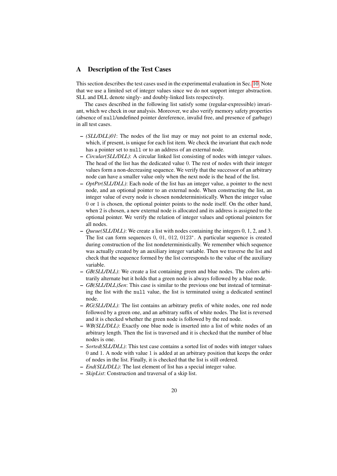# <span id="page-21-0"></span>A Description of the Test Cases

This section describes the test cases used in the experimental evaluation in Sec. [10.](#page-16-0) Note that we use a limited set of integer values since we do not support integer abstraction. SLL and DLL denote singly- and doubly-linked lists respectively.

The cases described in the following list satisfy some (regular-expressible) invariant, which we check in our analysis. Moreover, we also verify memory safety properties (absence of null/undefined pointer dereference, invalid free, and presence of garbage) in all test cases.

- *(SLL/DLL)01*: The nodes of the list may or may not point to an external node, which, if present, is unique for each list item. We check the invariant that each node has a pointer set to null or to an address of an external node.
- *Circular(SLL/DLL)*: A circular linked list consisting of nodes with integer values. The head of the list has the dedicated value 0. The rest of nodes with their integer values form a non-decreasing sequence. We verify that the successor of an arbitrary node can have a smaller value only when the next node is the head of the list.
- *OptPtr(SLL/DLL)*: Each node of the list has an integer value, a pointer to the next node, and an optional pointer to an external node. When constructing the list, an integer value of every node is chosen nondeterministically. When the integer value 0 or 1 is chosen, the optional pointer points to the node itself. On the other hand, when 2 is chosen, a new external node is allocated and its address is assigned to the optional pointer. We verify the relation of integer values and optional pointers for all nodes.
- *Queue(SLL/DLL)*: We create a list with nodes containing the integers 0, 1, 2, and 3. The list can form sequences 0, 01, 012, 0123<sup>∗</sup> . A particular sequence is created during construction of the list nondeterministically. We remember which sequence was actually created by an auxiliary integer variable. Then we traverse the list and check that the sequence formed by the list corresponds to the value of the auxiliary variable.
- *GB(SLL/DLL)*: We create a list containing green and blue nodes. The colors arbitrarily alternate but it holds that a green node is always followed by a blue node.
- *GB(SLL/DLL)Sen*: This case is similar to the previous one but instead of terminating the list with the null value, the list is terminated using a dedicated sentinel node.
- *RG(SLL/DLL)*: The list contains an arbitrary prefix of white nodes, one red node followed by a green one, and an arbitrary suffix of white nodes. The list is reversed and it is checked whether the green node is followed by the red node.
- *WB(SLL/DLL)*: Exactly one blue node is inserted into a list of white nodes of an arbitrary length. Then the list is traversed and it is checked that the number of blue nodes is one.
- *Sorted(SLL/DLL)*: This test case contains a sorted list of nodes with integer values 0 and 1. A node with value 1 is added at an arbitrary position that keeps the order of nodes in the list. Finally, it is checked that the list is still ordered.
- *End(SLL/DLL)*: The last element of list has a special integer value.
- *SkipList*: Construction and traversal of a skip list.